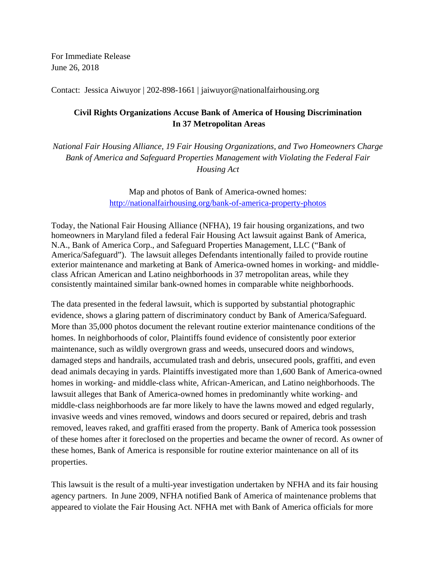For Immediate Release June 26, 2018

Contact: Jessica Aiwuyor | 202-898-1661 | jaiwuyor@nationalfairhousing.org

## **Civil Rights Organizations Accuse Bank of America of Housing Discrimination In 37 Metropolitan Areas**

*National Fair Housing Alliance, 19 Fair Housing Organizations, and Two Homeowners Charge Bank of America and Safeguard Properties Management with Violating the Federal Fair Housing Act*

> Map and photos of Bank of America-owned homes: <http://nationalfairhousing.org/bank-of-america-property-photos>

Today, the National Fair Housing Alliance (NFHA), 19 fair housing organizations, and two homeowners in Maryland filed a federal Fair Housing Act lawsuit against Bank of America, N.A., Bank of America Corp., and Safeguard Properties Management, LLC ("Bank of America/Safeguard"). The lawsuit alleges Defendants intentionally failed to provide routine exterior maintenance and marketing at Bank of America-owned homes in working- and middleclass African American and Latino neighborhoods in 37 metropolitan areas, while they consistently maintained similar bank-owned homes in comparable white neighborhoods.

The data presented in the federal lawsuit, which is supported by substantial photographic evidence, shows a glaring pattern of discriminatory conduct by Bank of America/Safeguard. More than 35,000 photos document the relevant routine exterior maintenance conditions of the homes. In neighborhoods of color, Plaintiffs found evidence of consistently poor exterior maintenance, such as wildly overgrown grass and weeds, unsecured doors and windows, damaged steps and handrails, accumulated trash and debris, unsecured pools, graffiti, and even dead animals decaying in yards. Plaintiffs investigated more than 1,600 Bank of America-owned homes in working- and middle-class white, African-American, and Latino neighborhoods. The lawsuit alleges that Bank of America-owned homes in predominantly white working- and middle-class neighborhoods are far more likely to have the lawns mowed and edged regularly, invasive weeds and vines removed, windows and doors secured or repaired, debris and trash removed, leaves raked, and graffiti erased from the property. Bank of America took possession of these homes after it foreclosed on the properties and became the owner of record. As owner of these homes, Bank of America is responsible for routine exterior maintenance on all of its properties.

This lawsuit is the result of a multi-year investigation undertaken by NFHA and its fair housing agency partners. In June 2009, NFHA notified Bank of America of maintenance problems that appeared to violate the Fair Housing Act. NFHA met with Bank of America officials for more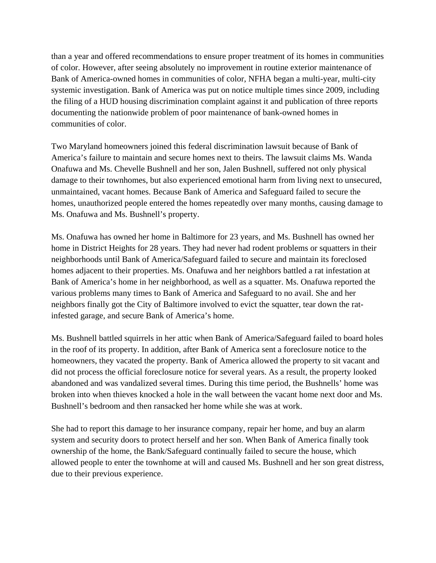than a year and offered recommendations to ensure proper treatment of its homes in communities of color. However, after seeing absolutely no improvement in routine exterior maintenance of Bank of America-owned homes in communities of color, NFHA began a multi-year, multi-city systemic investigation. Bank of America was put on notice multiple times since 2009, including the filing of a HUD housing discrimination complaint against it and publication of three reports documenting the nationwide problem of poor maintenance of bank-owned homes in communities of color.

Two Maryland homeowners joined this federal discrimination lawsuit because of Bank of America's failure to maintain and secure homes next to theirs. The lawsuit claims Ms. Wanda Onafuwa and Ms. Chevelle Bushnell and her son, Jalen Bushnell, suffered not only physical damage to their townhomes, but also experienced emotional harm from living next to unsecured, unmaintained, vacant homes. Because Bank of America and Safeguard failed to secure the homes, unauthorized people entered the homes repeatedly over many months, causing damage to Ms. Onafuwa and Ms. Bushnell's property.

Ms. Onafuwa has owned her home in Baltimore for 23 years, and Ms. Bushnell has owned her home in District Heights for 28 years. They had never had rodent problems or squatters in their neighborhoods until Bank of America/Safeguard failed to secure and maintain its foreclosed homes adjacent to their properties. Ms. Onafuwa and her neighbors battled a rat infestation at Bank of America's home in her neighborhood, as well as a squatter. Ms. Onafuwa reported the various problems many times to Bank of America and Safeguard to no avail. She and her neighbors finally got the City of Baltimore involved to evict the squatter, tear down the ratinfested garage, and secure Bank of America's home.

Ms. Bushnell battled squirrels in her attic when Bank of America/Safeguard failed to board holes in the roof of its property. In addition, after Bank of America sent a foreclosure notice to the homeowners, they vacated the property. Bank of America allowed the property to sit vacant and did not process the official foreclosure notice for several years. As a result, the property looked abandoned and was vandalized several times. During this time period, the Bushnells' home was broken into when thieves knocked a hole in the wall between the vacant home next door and Ms. Bushnell's bedroom and then ransacked her home while she was at work.

She had to report this damage to her insurance company, repair her home, and buy an alarm system and security doors to protect herself and her son. When Bank of America finally took ownership of the home, the Bank/Safeguard continually failed to secure the house, which allowed people to enter the townhome at will and caused Ms. Bushnell and her son great distress, due to their previous experience.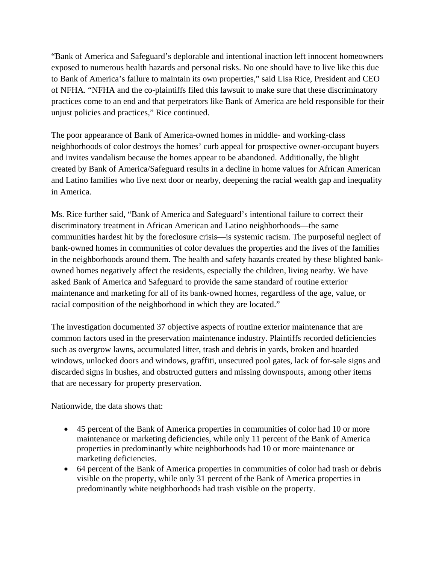"Bank of America and Safeguard's deplorable and intentional inaction left innocent homeowners exposed to numerous health hazards and personal risks. No one should have to live like this due to Bank of America's failure to maintain its own properties," said Lisa Rice, President and CEO of NFHA. "NFHA and the co-plaintiffs filed this lawsuit to make sure that these discriminatory practices come to an end and that perpetrators like Bank of America are held responsible for their unjust policies and practices," Rice continued.

The poor appearance of Bank of America-owned homes in middle- and working-class neighborhoods of color destroys the homes' curb appeal for prospective owner-occupant buyers and invites vandalism because the homes appear to be abandoned. Additionally, the blight created by Bank of America/Safeguard results in a decline in home values for African American and Latino families who live next door or nearby, deepening the racial wealth gap and inequality in America.

Ms. Rice further said, "Bank of America and Safeguard's intentional failure to correct their discriminatory treatment in African American and Latino neighborhoods—the same communities hardest hit by the foreclosure crisis—is systemic racism. The purposeful neglect of bank-owned homes in communities of color devalues the properties and the lives of the families in the neighborhoods around them. The health and safety hazards created by these blighted bankowned homes negatively affect the residents, especially the children, living nearby. We have asked Bank of America and Safeguard to provide the same standard of routine exterior maintenance and marketing for all of its bank-owned homes, regardless of the age, value, or racial composition of the neighborhood in which they are located."

The investigation documented 37 objective aspects of routine exterior maintenance that are common factors used in the preservation maintenance industry. Plaintiffs recorded deficiencies such as overgrow lawns, accumulated litter, trash and debris in yards, broken and boarded windows, unlocked doors and windows, graffiti, unsecured pool gates, lack of for-sale signs and discarded signs in bushes, and obstructed gutters and missing downspouts, among other items that are necessary for property preservation.

Nationwide, the data shows that:

- 45 percent of the Bank of America properties in communities of color had 10 or more maintenance or marketing deficiencies, while only 11 percent of the Bank of America properties in predominantly white neighborhoods had 10 or more maintenance or marketing deficiencies.
- 64 percent of the Bank of America properties in communities of color had trash or debris visible on the property, while only 31 percent of the Bank of America properties in predominantly white neighborhoods had trash visible on the property.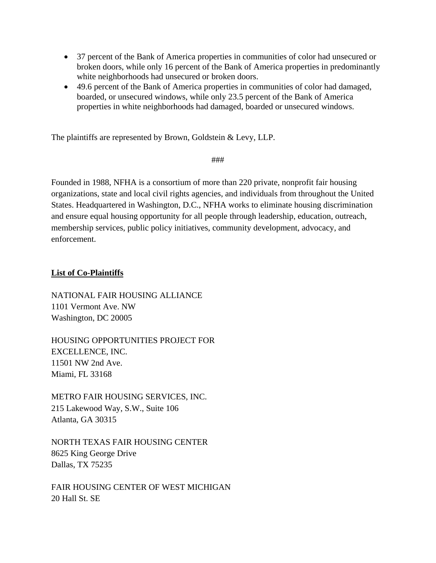- 37 percent of the Bank of America properties in communities of color had unsecured or broken doors, while only 16 percent of the Bank of America properties in predominantly white neighborhoods had unsecured or broken doors.
- 49.6 percent of the Bank of America properties in communities of color had damaged, boarded, or unsecured windows, while only 23.5 percent of the Bank of America properties in white neighborhoods had damaged, boarded or unsecured windows.

The plaintiffs are represented by Brown, Goldstein & Levy, LLP.

###

Founded in 1988, NFHA is a consortium of more than 220 private, nonprofit fair housing organizations, state and local civil rights agencies, and individuals from throughout the United States. Headquartered in Washington, D.C., NFHA works to eliminate housing discrimination and ensure equal housing opportunity for all people through leadership, education, outreach, membership services, public policy initiatives, community development, advocacy, and enforcement.

## **List of Co-Plaintiffs**

NATIONAL FAIR HOUSING ALLIANCE 1101 Vermont Ave. NW Washington, DC 20005

HOUSING OPPORTUNITIES PROJECT FOR EXCELLENCE, INC. 11501 NW 2nd Ave. Miami, FL 33168

METRO FAIR HOUSING SERVICES, INC. 215 Lakewood Way, S.W., Suite 106 Atlanta, GA 30315

NORTH TEXAS FAIR HOUSING CENTER 8625 King George Drive Dallas, TX 75235

FAIR HOUSING CENTER OF WEST MICHIGAN 20 Hall St. SE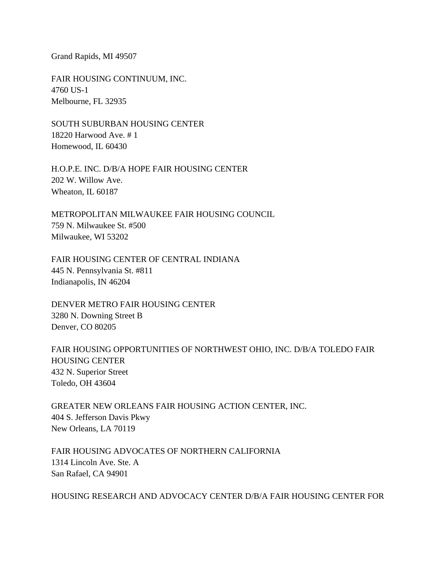Grand Rapids, MI 49507

FAIR HOUSING CONTINUUM, INC. 4760 US-1 Melbourne, FL 32935

SOUTH SUBURBAN HOUSING CENTER 18220 Harwood Ave. # 1 Homewood, IL 60430

H.O.P.E. INC. D/B/A HOPE FAIR HOUSING CENTER 202 W. Willow Ave. Wheaton, IL 60187

METROPOLITAN MILWAUKEE FAIR HOUSING COUNCIL 759 N. Milwaukee St. #500 Milwaukee, WI 53202

FAIR HOUSING CENTER OF CENTRAL INDIANA 445 N. Pennsylvania St. #811 Indianapolis, IN 46204

DENVER METRO FAIR HOUSING CENTER 3280 N. Downing Street B Denver, CO 80205

FAIR HOUSING OPPORTUNITIES OF NORTHWEST OHIO, INC. D/B/A TOLEDO FAIR HOUSING CENTER 432 N. Superior Street Toledo, OH 43604

GREATER NEW ORLEANS FAIR HOUSING ACTION CENTER, INC. 404 S. Jefferson Davis Pkwy New Orleans, LA 70119

FAIR HOUSING ADVOCATES OF NORTHERN CALIFORNIA 1314 Lincoln Ave. Ste. A San Rafael, CA 94901

HOUSING RESEARCH AND ADVOCACY CENTER D/B/A FAIR HOUSING CENTER FOR